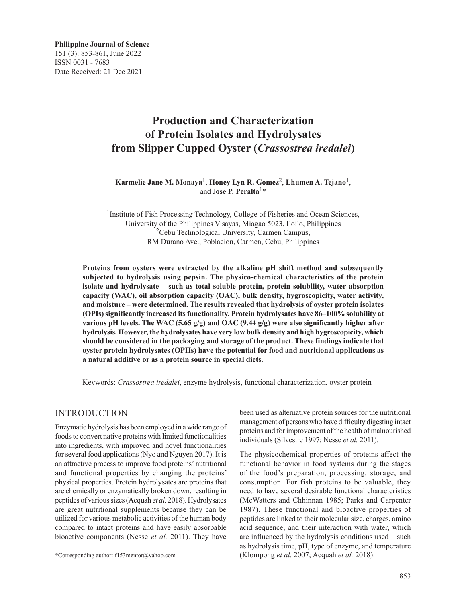**Philippine Journal of Science** 151 (3): 853-861, June 2022 ISSN 0031 - 7683 Date Received: 21 Dec 2021

# **Production and Characterization of Protein Isolates and Hydrolysates from Slipper Cupped Oyster (***Crassostrea iredalei***)**

**Karmelie Jane M. Monaya**1, **Honey Lyn R. Gomez**2, **Lhumen A. Tejano**1, and J**ose P. Peralta**1\*

<sup>1</sup>Institute of Fish Processing Technology, College of Fisheries and Ocean Sciences, University of the Philippines Visayas, Miagao 5023, Iloilo, Philippines 2Cebu Technological University, Carmen Campus, RM Durano Ave., Poblacion, Carmen, Cebu, Philippines

**Proteins from oysters were extracted by the alkaline pH shift method and subsequently subjected to hydrolysis using pepsin. The physico-chemical characteristics of the protein isolate and hydrolysate – such as total soluble protein, protein solubility, water absorption capacity (WAC), oil absorption capacity (OAC), bulk density, hygroscopicity, water activity, and moisture – were determined. The results revealed that hydrolysis of oyster protein isolates (OPIs) significantly increased its functionality. Protein hydrolysates have 86–100% solubility at various pH levels. The WAC (5.65 g/g) and OAC (9.44 g/g) were also significantly higher after hydrolysis. However, the hydrolysates have very low bulk density and high hygroscopicity, which should be considered in the packaging and storage of the product. These findings indicate that oyster protein hydrolysates (OPHs) have the potential for food and nutritional applications as a natural additive or as a protein source in special diets.**

Keywords: *Crassostrea iredalei*, enzyme hydrolysis, functional characterization, oyster protein

# INTRODUCTION

Enzymatic hydrolysis has been employed in a wide range of foods to convert native proteins with limited functionalities into ingredients, with improved and novel functionalities for several food applications (Nyo and Nguyen 2017). It is an attractive process to improve food proteins' nutritional and functional properties by changing the proteins' physical properties. Protein hydrolysates are proteins that are chemically or enzymatically broken down, resulting in peptides of various sizes (Acquah *et al.* 2018). Hydrolysates are great nutritional supplements because they can be utilized for various metabolic activities of the human body compared to intact proteins and have easily absorbable bioactive components (Nesse *et al.* 2011). They have

been used as alternative protein sources for the nutritional management of persons who have difficulty digesting intact proteins and for improvement of the health of malnourished individuals (Silvestre 1997; Nesse *et al.* 2011).

The physicochemical properties of proteins affect the functional behavior in food systems during the stages of the food's preparation, processing, storage, and consumption. For fish proteins to be valuable, they need to have several desirable functional characteristics (McWatters and Chhinnan 1985; Parks and Carpenter 1987). These functional and bioactive properties of peptides are linked to their molecular size, charges, amino acid sequence, and their interaction with water, which are influenced by the hydrolysis conditions used – such as hydrolysis time, pH, type of enzyme, and temperature (Klompong *et al.* 2007; Acquah *et al.* 2018).

<sup>\*</sup>Corresponding author: f153mentor@yahoo.com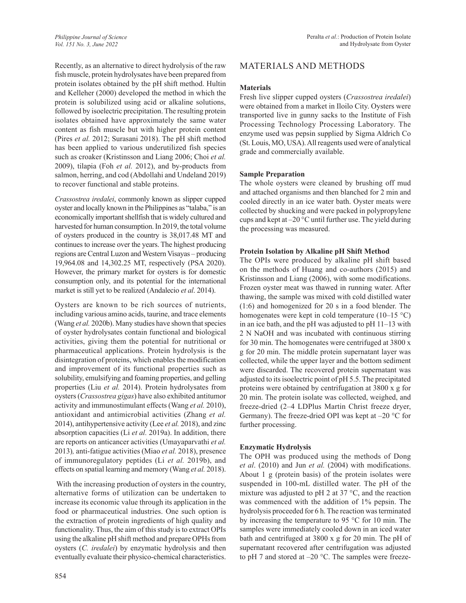Recently, as an alternative to direct hydrolysis of the raw fish muscle, protein hydrolysates have been prepared from protein isolates obtained by the pH shift method. Hultin and Kelleher (2000) developed the method in which the protein is solubilized using acid or alkaline solutions, followed by isoelectric precipitation. The resulting protein isolates obtained have approximately the same water content as fish muscle but with higher protein content (Pires *et al.* 2012; Surasani 2018). The pH shift method has been applied to various underutilized fish species such as croaker (Kristinsson and Liang 2006; Choi *et al.* 2009), tilapia (Foh *et al.* 2012), and by-products from salmon, herring, and cod (Abdollahi and Undeland 2019) to recover functional and stable proteins.

*Crassostrea iredalei*, commonly known as slipper cupped oyster and locally known in the Philippines as "talaba," is an economically important shellfish that is widely cultured and harvested for human consumption. In 2019, the total volume of oysters produced in the country is 38,017.48 MT and continues to increase over the years. The highest producing regions are Central Luzon and Western Visayas – producing 19,964.08 and 14,302.25 MT, respectively (PSA 2020). However, the primary market for oysters is for domestic consumption only, and its potential for the international market is still yet to be realized (Andalecio *et al*. 2014).

Oysters are known to be rich sources of nutrients, including various amino acids, taurine, and trace elements (Wang *et al.* 2020b). Many studies have shown that species of oyster hydrolysates contain functional and biological activities, giving them the potential for nutritional or pharmaceutical applications. Protein hydrolysis is the disintegration of proteins, which enables the modification and improvement of its functional properties such as solubility, emulsifying and foaming properties, and gelling properties (Liu *et al.* 2014). Protein hydrolysates from oysters (*Crassostrea gigas*) have also exhibited antitumor activity and immunostimulant effects (Wang *et al.* 2010), antioxidant and antimicrobial activities (Zhang *et al.*  2014), antihypertensive activity (Lee *et al.* 2018), and zinc absorption capacities (Li *et al.* 2019a). In addition, there are reports on anticancer activities (Umayaparvathi *et al.*  2013)*,* anti-fatigue activities (Miao *et al.* 2018), presence of immunoregulatory peptides (Li *et al.* 2019b), and effects on spatial learning and memory (Wang *et al.* 2018).

 With the increasing production of oysters in the country, alternative forms of utilization can be undertaken to increase its economic value through its application in the food or pharmaceutical industries. One such option is the extraction of protein ingredients of high quality and functionality. Thus, the aim of this study is to extract OPIs using the alkaline pH shift method and prepare OPHs from oysters (*C. iredalei*) by enzymatic hydrolysis and then eventually evaluate their physico-chemical characteristics.

### **Materials**

Fresh live slipper cupped oysters (*Crassostrea iredalei*) were obtained from a market in Iloilo City. Oysters were transported live in gunny sacks to the Institute of Fish Processing Technology Processing Laboratory. The enzyme used was pepsin supplied by Sigma Aldrich Co (St. Louis, MO, USA). All reagents used were of analytical grade and commercially available.

# **Sample Preparation**

The whole oysters were cleaned by brushing off mud and attached organisms and then blanched for 2 min and cooled directly in an ice water bath. Oyster meats were collected by shucking and were packed in polypropylene cups and kept at –20 °C until further use. The yield during the processing was measured.

# **Protein Isolation by Alkaline pH Shift Method**

The OPIs were produced by alkaline pH shift based on the methods of Huang and co-authors (2015) and Kristinsson and Liang (2006), with some modifications. Frozen oyster meat was thawed in running water. After thawing, the sample was mixed with cold distilled water (1:6) and homogenized for 20 s in a food blender. The homogenates were kept in cold temperature  $(10-15 \degree C)$ in an ice bath, and the pH was adjusted to pH 11–13 with 2 N NaOH and was incubated with continuous stirring for 30 min. The homogenates were centrifuged at 3800 x g for 20 min. The middle protein supernatant layer was collected, while the upper layer and the bottom sediment were discarded. The recovered protein supernatant was adjusted to its isoelectric point of pH 5.5. The precipitated proteins were obtained by centrifugation at 3800 x g for 20 min. The protein isolate was collected, weighed, and freeze-dried (2–4 LDPlus Martin Christ freeze dryer, Germany). The freeze-dried OPI was kept at  $-20$  °C for further processing.

# **Enzymatic Hydrolysis**

The OPH was produced using the methods of Dong *et al*. (2010) and Jun *et al.* (2004) with modifications. About 1 g (protein basis) of the protein isolates were suspended in 100-mL distilled water. The pH of the mixture was adjusted to pH 2 at 37 °C, and the reaction was commenced with the addition of 1% pepsin. The hydrolysis proceeded for 6 h. The reaction was terminated by increasing the temperature to 95 °C for 10 min. The samples were immediately cooled down in an iced water bath and centrifuged at 3800 x g for 20 min. The pH of supernatant recovered after centrifugation was adjusted to pH 7 and stored at  $-20$  °C. The samples were freeze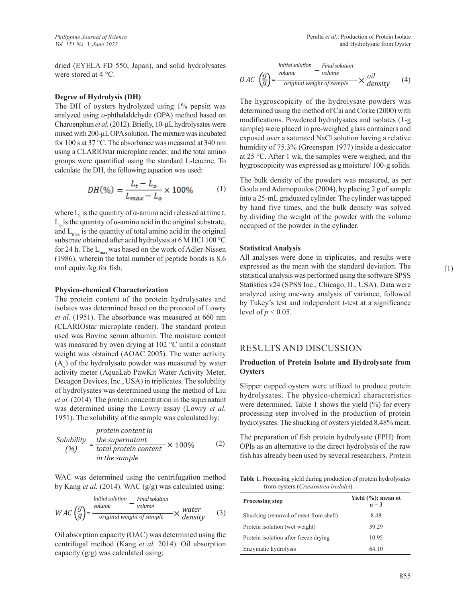dried (EYELA FD 550, Japan), and solid hydrolysates were stored at 4 °C.

#### **Degree of Hydrolysis (DH)**

The DH of oysters hydrolyzed using 1% pepsin was analyzed using *o*-phthalaldehyde (OPA) method based on Charoenphun *et al.* (2012). Briefly, 10-µL hydrolysates were mixed with 200-µL OPA solution. The mixture was incubated for 100 s at 37 °C. The absorbance was measured at 340 nm using a CLARIOstar microplate reader, and the total amino groups were quantified using the standard L-leucine. To calculate the DH, the following equation was used:

$$
DH(\%) = \frac{L_t - L_o}{L_{max} - L_o} \times 100\% \tag{1}
$$

where  $L_t$  is the quantity of  $\alpha$ -amino acid released at time t,  $L_0$  is the quantity of α-amino acid in the original substrate, and  $L_{\text{max}}$  is the quantity of total amino acid in the original substrate obtained after acid hydrolysis at 6 M HCl 100 °C for 24 h. The  $L_{max}$  was based on the work of Adler-Nissen (1986), wherein the total number of peptide bonds is 8.6 mol equiv./kg for fish.

#### **Physico-chemical Characterization**

The protein content of the protein hydrolysates and isolates was determined based on the protocol of Lowry *et al.* (1951). The absorbance was measured at 660 nm (CLARIOstar microplate reader). The standard protein used was Bovine serum albumin. The moisture content was measured by oven drying at 102 °C until a constant weight was obtained (AOAC 2005). The water activity  $(A<sub>w</sub>)$  of the hydrolysate powder was measured by water activity meter (AquaLab PawKit Water Activity Meter, Decagon Devices, Inc., USA) in triplicates. The solubility of hydrolysates was determined using the method of Liu *et al.* (2014). The protein concentration in the supernatant was determined using the Lowry assay (Lowry *et al.* 1951). The solubility of the sample was calculated by:

Solubility

\n
$$
= \frac{\text{the supernatant}}{\text{total protein content}} \times 100\%
$$
\n(2)

\nin the sample

WAC was determined using the centrifugation method by Kang *et al.* (2014). WAC (g/g) was calculated using:

<sup>×</sup> (3) *water density* <sup>−</sup> *Initial solution volume Final solution*   $WAC \left(\frac{g}{g}\right) = \frac{volume}{original\ weight\ of\ sample}$ 

Oil absorption capacity (OAC) was determined using the centrifugal method (Kang *et al.* 2014). Oil absorption capacity  $(g/g)$  was calculated using:

*Initial solution* – *Final solution*  
*O AC* 
$$
\left(\frac{g}{g}\right)
$$
 =  $\frac{\text{volume}}{\text{original weight of sample}}$  × *olensity* (4)

The hygroscopicity of the hydrolysate powders was determined using the method of Cai and Corke (2000) with modifications. Powdered hydrolysates and isolates (1-g sample) were placed in pre-weighed glass containers and exposed over a saturated NaCl solution having a relative humidity of 75.3% (Greenspan 1977) inside a desiccator at 25 °C. After 1 wk, the samples were weighed, and the hygroscopicity was expressed as g moisture/ 100-g solids.

The bulk density of the powders was measured, as per Goula and Adamopoulos (2004), by placing 2 g of sample into a 25-mL graduated cylinder. The cylinder was tapped by hand five times, and the bulk density was solved by dividing the weight of the powder with the volume occupied of the powder in the cylinder.

#### **Statistical Analysis**

All analyses were done in triplicates, and results were expressed as the mean with the standard deviation. The statistical analysis was performed using the software SPSS Statistics v24 (SPSS Inc., Chicago, IL, USA). Data were analyzed using one-way analysis of variance, followed by Tukey's test and independent t-test at a significance level of  $p < 0.05$ .

### RESULTS AND DISCUSSION

#### **Production of Protein Isolate and Hydrolysate from Oysters**

Slipper cupped oysters were utilized to produce protein hydrolysates. The physico-chemical characteristics were determined. Table 1 shows the yield (%) for every processing step involved in the production of protein hydrolysates. The shucking of oysters yielded 8.48% meat.

The preparation of fish protein hydrolysate (FPH) from OPIs as an alternative to the direct hydrolysis of the raw fish has already been used by several researchers. Protein

**Table 1.** Processing yield during production of protein hydrolysates from oysters (*Crassostrea iredalei*).

| <b>Processing step</b>                | Yield $(\%);$ mean at<br>$n = 3$ |
|---------------------------------------|----------------------------------|
| Shucking (removal of meat from shell) | 8.48                             |
| Protein isolation (wet weight)        | 39.29                            |
| Protein isolation after freeze drying | 10.95                            |
| Enzymatic hydrolysis                  | 64.10                            |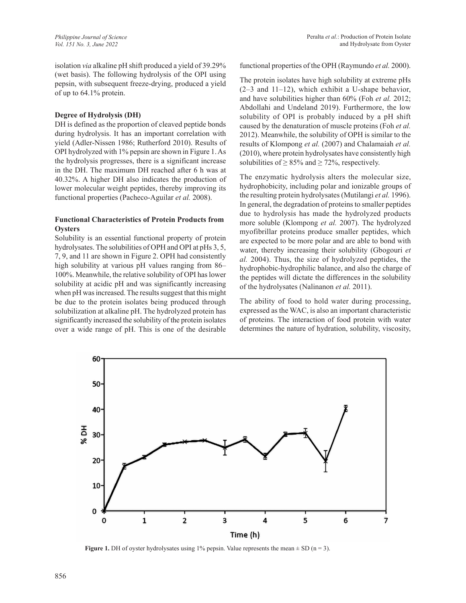isolation *via* alkaline pH shift produced a yield of 39.29% (wet basis). The following hydrolysis of the OPI using pepsin, with subsequent freeze-drying, produced a yield of up to 64.1% protein.

#### **Degree of Hydrolysis (DH)**

DH is defined as the proportion of cleaved peptide bonds during hydrolysis. It has an important correlation with yield (Adler-Nissen 1986; Rutherford 2010). Results of OPI hydrolyzed with 1% pepsin are shown in Figure 1. As the hydrolysis progresses, there is a significant increase in the DH. The maximum DH reached after 6 h was at 40.32%. A higher DH also indicates the production of lower molecular weight peptides, thereby improving its functional properties (Pacheco-Aguilar *et al.* 2008).

### **Functional Characteristics of Protein Products from Oysters**

Solubility is an essential functional property of protein hydrolysates. The solubilities of OPH and OPI at pHs 3, 5, 7, 9, and 11 are shown in Figure 2. OPH had consistently high solubility at various pH values ranging from 86– 100%. Meanwhile, the relative solubility of OPI has lower solubility at acidic pH and was significantly increasing when pH was increased. The results suggest that this might be due to the protein isolates being produced through solubilization at alkaline pH. The hydrolyzed protein has significantly increased the solubility of the protein isolates over a wide range of pH. This is one of the desirable

functional properties of the OPH (Raymundo *et al.* 2000).

The protein isolates have high solubility at extreme pHs (2–3 and 11–12), which exhibit a U-shape behavior, and have solubilities higher than 60% (Foh *et al.* 2012; Abdollahi and Undeland 2019). Furthermore, the low solubility of OPI is probably induced by a pH shift caused by the denaturation of muscle proteins (Foh *et al.* 2012). Meanwhile, the solubility of OPH is similar to the results of Klompong *et al.* (2007) and Chalamaiah *et al.* (2010), where protein hydrolysates have consistently high solubilities of  $\geq$  85% and  $\geq$  72%, respectively.

The enzymatic hydrolysis alters the molecular size, hydrophobicity, including polar and ionizable groups of the resulting protein hydrolysates (Mutilangi *et al.* 1996). In general, the degradation of proteins to smaller peptides due to hydrolysis has made the hydrolyzed products more soluble (Klompong *et al.* 2007). The hydrolyzed myofibrillar proteins produce smaller peptides, which are expected to be more polar and are able to bond with water, thereby increasing their solubility (Gbogouri *et al.* 2004). Thus, the size of hydrolyzed peptides, the hydrophobic-hydrophilic balance, and also the charge of the peptides will dictate the differences in the solubility of the hydrolysates (Nalinanon *et al.* 2011).

The ability of food to hold water during processing, expressed as the WAC, is also an important characteristic of proteins. The interaction of food protein with water determines the nature of hydration, solubility, viscosity,



**Figure 1.** DH of oyster hydrolysates using 1% pepsin. Value represents the mean  $\pm$  SD (n = 3).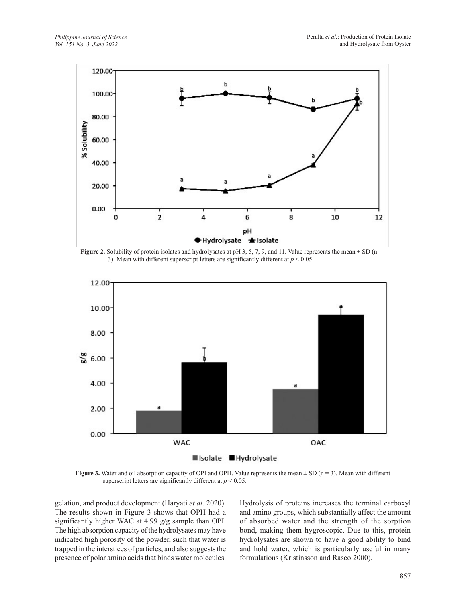

**Figure 2.** Solubility of protein isolates and hydrolysates at pH 3, 5, 7, 9, and 11. Value represents the mean  $\pm$  SD (n = 3). Mean with different superscript letters are significantly different at *p* < 0.05.



**Figure 3.** Water and oil absorption capacity of OPI and OPH. Value represents the mean  $\pm$  SD (n = 3). Mean with different superscript letters are significantly different at *p* < 0.05.

gelation, and product development (Haryati *et al.* 2020). The results shown in Figure 3 shows that OPH had a significantly higher WAC at 4.99 g/g sample than OPI. The high absorption capacity of the hydrolysates may have indicated high porosity of the powder, such that water is trapped in the interstices of particles, and also suggests the presence of polar amino acids that binds water molecules. Hydrolysis of proteins increases the terminal carboxyl and amino groups, which substantially affect the amount of absorbed water and the strength of the sorption bond, making them hygroscopic. Due to this, protein hydrolysates are shown to have a good ability to bind and hold water, which is particularly useful in many formulations (Kristinsson and Rasco 2000).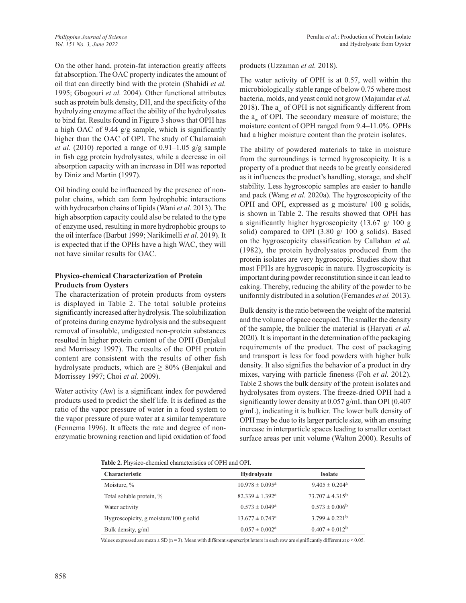On the other hand, protein-fat interaction greatly affects fat absorption. The OAC property indicates the amount of oil that can directly bind with the protein (Shahidi *et al.* 1995; Gbogouri *et al.* 2004). Other functional attributes such as protein bulk density, DH, and the specificity of the hydrolyzing enzyme affect the ability of the hydrolysates to bind fat. Results found in Figure 3 shows that OPH has a high OAC of 9.44 g/g sample, which is significantly higher than the OAC of OPI. The study of Chalamaiah *et al.* (2010) reported a range of 0.91–1.05 g/g sample in fish egg protein hydrolysates, while a decrease in oil absorption capacity with an increase in DH was reported by Diniz and Martin (1997).

Oil binding could be influenced by the presence of nonpolar chains, which can form hydrophobic interactions with hydrocarbon chains of lipids (Wani *et al.* 2013). The high absorption capacity could also be related to the type of enzyme used, resulting in more hydrophobic groups to the oil interface (Barbut 1999; Narikimelli *et al.* 2019). It is expected that if the OPHs have a high WAC, they will not have similar results for OAC.

### **Physico-chemical Characterization of Protein Products from Oysters**

The characterization of protein products from oysters is displayed in Table 2. The total soluble proteins significantly increased after hydrolysis. The solubilization of proteins during enzyme hydrolysis and the subsequent removal of insoluble, undigested non-protein substances resulted in higher protein content of the OPH (Benjakul and Morrissey 1997). The results of the OPH protein content are consistent with the results of other fish hydrolysate products, which are  $\geq 80\%$  (Benjakul and Morrissey 1997; Choi *et al.* 2009).

Water activity (Aw) is a significant index for powdered products used to predict the shelf life. It is defined as the ratio of the vapor pressure of water in a food system to the vapor pressure of pure water at a similar temperature (Fennema 1996). It affects the rate and degree of nonenzymatic browning reaction and lipid oxidation of food products (Uzzaman *et al.* 2018).

The water activity of OPH is at 0.57, well within the microbiologically stable range of below 0.75 where most bacteria, molds, and yeast could not grow (Majumdar *et al.* 2018). The  $a_w$  of OPH is not significantly different from the  $a_w$  of OPI. The secondary measure of moisture; the moisture content of OPH ranged from 9.4–11.0%. OPHs had a higher moisture content than the protein isolates.

The ability of powdered materials to take in moisture from the surroundings is termed hygroscopicity. It is a property of a product that needs to be greatly considered as it influences the product's handling, storage, and shelf stability. Less hygroscopic samples are easier to handle and pack (Wang *et al.* 2020a). The hygroscopicity of the OPH and OPI, expressed as g moisture/ 100 g solids, is shown in Table 2. The results showed that OPH has a significantly higher hygroscopicity (13.67 g/ 100 g solid) compared to OPI  $(3.80 \text{ g} / 100 \text{ g}$  solids). Based on the hygroscopicity classification by Callahan *et al.* (1982), the protein hydrolysates produced from the protein isolates are very hygroscopic. Studies show that most FPHs are hygroscopic in nature. Hygroscopicity is important during powder reconstitution since it can lead to caking. Thereby, reducing the ability of the powder to be uniformly distributed in a solution (Fernandes *et al.* 2013).

Bulk density is the ratio between the weight of the material and the volume of space occupied. The smaller the density of the sample, the bulkier the material is (Haryati *et al.* 2020). It is important in the determination of the packaging requirements of the product. The cost of packaging and transport is less for food powders with higher bulk density. It also signifies the behavior of a product in dry mixes, varying with particle fineness (Foh *et al.* 2012). Table 2 shows the bulk density of the protein isolates and hydrolysates from oysters. The freeze-dried OPH had a significantly lower density at 0.057 g/mL than OPI (0.407 g/mL), indicating it is bulkier. The lower bulk density of OPH may be due to its larger particle size, with an ensuing increase in interparticle spaces leading to smaller contact surface areas per unit volume (Walton 2000). Results of

**Table 2.** Physico-chemical characteristics of OPH and OPI.

| Characteristic                         | Hydrolysate                   | <b>Isolate</b>       |
|----------------------------------------|-------------------------------|----------------------|
| Moisture, %                            | $10.978 \pm 0.095^{\text{a}}$ | $9.405 \pm 0.204^a$  |
| Total soluble protein, %               | $82.339 \pm 1.392^a$          | $73.707 \pm 4.315^b$ |
| Water activity                         | $0.573 \pm 0.049^a$           | $0.573 \pm 0.006^b$  |
| Hygroscopicity, g moisture/100 g solid | $13.677 \pm 0.743^a$          | $3.799 \pm 0.221^b$  |
| Bulk density, g/ml                     | $0.057 \pm 0.002^a$           | $0.407 \pm 0.012^b$  |

Values expressed are mean  $\pm$  SD (n = 3). Mean with different superscript letters in each row are significantly different at  $p$  < 0.05.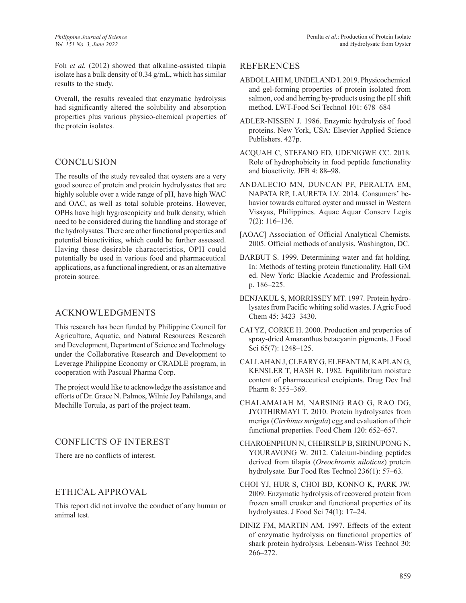Foh *et al.* (2012) showed that alkaline-assisted tilapia isolate has a bulk density of 0.34 g/mL, which has similar results to the study.

Overall, the results revealed that enzymatic hydrolysis had significantly altered the solubility and absorption properties plus various physico-chemical properties of the protein isolates.

# CONCLUSION

The results of the study revealed that oysters are a very good source of protein and protein hydrolysates that are highly soluble over a wide range of pH, have high WAC and OAC, as well as total soluble proteins. However, OPHs have high hygroscopicity and bulk density, which need to be considered during the handling and storage of the hydrolysates. There are other functional properties and potential bioactivities, which could be further assessed. Having these desirable characteristics, OPH could potentially be used in various food and pharmaceutical applications, as a functional ingredient, or as an alternative protein source.

# ACKNOWLEDGMENTS

This research has been funded by Philippine Council for Agriculture, Aquatic, and Natural Resources Research and Development, Department of Science and Technology under the Collaborative Research and Development to Leverage Philippine Economy or CRADLE program, in cooperation with Pascual Pharma Corp.

The project would like to acknowledge the assistance and efforts of Dr. Grace N. Palmos, Wilnie Joy Pahilanga, and Mechille Tortula, as part of the project team.

# CONFLICTS OF INTEREST

There are no conflicts of interest.

# ETHICAL APPROVAL

This report did not involve the conduct of any human or animal test.

# REFERENCES

- ABDOLLAHI M, UNDELAND I. 2019. Physicochemical and gel-forming properties of protein isolated from salmon, cod and herring by-products using the pH shift method. LWT-Food Sci Technol 101: 678–684
- ADLER-NISSEN J. 1986. Enzymic hydrolysis of food proteins. New York, USA: Elsevier Applied Science Publishers. 427p.
- ACQUAH C, STEFANO ED, UDENIGWE CC. 2018. Role of hydrophobicity in food peptide functionality and bioactivity. JFB 4: 88–98.
- ANDALECIO MN, DUNCAN PF, PERALTA EM, NAPATA RP, LAURETA LV. 2014. Consumers' behavior towards cultured oyster and mussel in Western Visayas, Philippines. Aquac Aquar Conserv Legis 7(2): 116–136.
- [AOAC] Association of Official Analytical Chemists. 2005. Official methods of analysis. Washington, DC.
- BARBUT S. 1999. Determining water and fat holding. In: Methods of testing protein functionality. Hall GM ed. New York: Blackie Academic and Professional. p. 186–225.
- BENJAKUL S, MORRISSEY MT. 1997. Protein hydrolysates from Pacific whiting solid wastes. J Agric Food Chem 45: 3423–3430.
- CAI YZ, CORKE H. 2000. Production and properties of spray-dried Amaranthus betacyanin pigments. J Food Sci 65(7): 1248–125.
- CALLAHAN J, CLEARY G, ELEFANT M, KAPLAN G, KENSLER T, HASH R. 1982. Equilibrium moisture content of pharmaceutical excipients. Drug Dev Ind Pharm 8: 355–369.
- CHALAMAIAH M, NARSING RAO G, RAO DG, JYOTHIRMAYI T. 2010. Protein hydrolysates from meriga (*Cirrhinus mrigala*) egg and evaluation of their functional properties. Food Chem 120: 652–657.
- CHAROENPHUN N, CHEIRSILP B, SIRINUPONG N, YOURAVONG W. 2012. Calcium-binding peptides derived from tilapia (*Oreochromis niloticus*) protein hydrolysate*.* Eur Food Res Technol 236(1): 57–63*.*
- CHOI YJ, HUR S, CHOI BD, KONNO K, PARK JW. 2009. Enzymatic hydrolysis of recovered protein from frozen small croaker and functional properties of its hydrolysates. J Food Sci 74(1): 17–24.
- DINIZ FM, MARTIN AM. 1997. Effects of the extent of enzymatic hydrolysis on functional properties of shark protein hydrolysis. Lebensm-Wiss Technol 30: 266–272.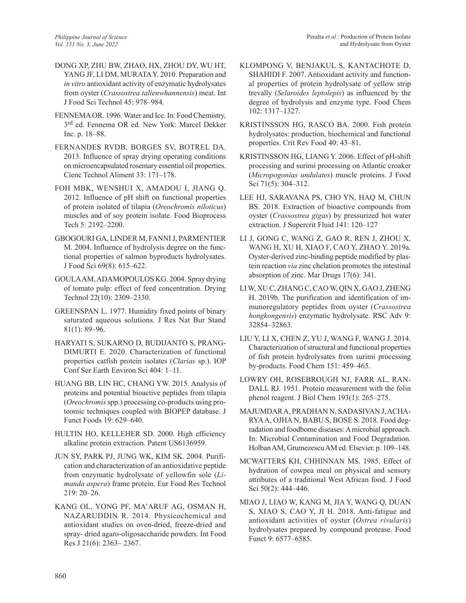- DONG XP, ZHU BW, ZHAO, HX, ZHOU DY, WU HT, YANG JF, LI DM, MURATA Y. 2010. Preparation and *in vitro* antioxidant activity of enzymatic hydrolysates from oyster (*Crassostrea talienwhannensis*) meat. Int J Food Sci Technol 45: 978–984.
- FENNEMA OR. 1996. Water and Ice. In: Food Chemistry, 3rd ed. Fennema OR ed. New York: Marcel Dekker Inc. p. 18–88.
- FERNANDES RVDB, BORGES SV, BOTREL DA. 2013. Influence of spray drying operating conditions on microencapsulated rosemary essential oil properties. Cienc Technol Aliment 33: 171–178.
- FOH MBK, WENSHUI X, AMADOU I, JIANG Q. 2012. Influence of pH shift on functional properties of protein isolated of tilapia (*Oreochromis niloticus*) muscles and of soy protein isolate. Food Bioprocess Tech 5: 2192–2200.
- GBOGOURI GA, LINDER M, FANNI J, PARMENTIER M. 2004. Influence of hydrolysis degree on the functional properties of salmon byproducts hydrolysates. J Food Sci 69(8): 615–622.
- GOULA AM, ADAMOPOULOS KG. 2004. Spray drying of tomato pulp: effect of feed concentration. Drying Technol 22(10): 2309–2330.
- GREENSPAN L. 1977. Humidity fixed points of binary saturated aqueous solutions. J Res Nat Bur Stand 81(1): 89–96.
- HARYATI S, SUKARNO D, BUDIJANTO S, PRANG-DIMURTI E. 2020. Characterization of functional properties catfish protein isolates (*Clarias* sp.). IOP Conf Ser Earth Environ Sci 404: 1–11.
- HUANG BB, LIN HC, CHANG YW. 2015. Analysis of proteins and potential bioactive peptides from tilapia (*Oreochromis* spp.) processing co-products using proteomic techniques coupled with BIOPEP database. J Funct Foods 19: 629–640.
- HULTIN HO, KELLEHER SD. 2000. High efficiency alkaline protein extraction. Patent US6136959.
- JUN SY, PARK PJ, JUNG WK, KIM SK. 2004. Purification and characterization of an antioxidative peptide from enzymatic hydrolysate of yellowfin sole (*Limanda aspera*) frame protein. Eur Food Res Technol 219: 20–26.
- KANG OL, YONG PF, MA'ARUF AG, OSMAN H, NAZARUDDIN R. 2014. Physicochemical and antioxidant studies on oven-dried, freeze-dried and spray- dried agaro-oligosaccharide powders. Int Food Res J 21(6): 2363– 2367.
- KLOMPONG V, BENJAKUL S, KANTACHOTE D, SHAHIDI F. 2007. Antioxidant activity and functional properties of protein hydrolysate of yellow strip trevally (*Selaroides leptolepis*) as influenced by the degree of hydrolysis and enzyme type. Food Chem 102: 1317–1327.
- KRISTINSSON HG, RASCO BA. 2000. Fish protein hydrolysates: production, biochemical and functional properties. Crit Rev Food 40: 43–81.
- KRISTINSSON HG, LIANG Y. 2006. Effect of pH-shift processing and surimi processing on Atlantic croaker (*Micropogonias undulates*) muscle proteins. J Food Sci 71(5): 304-312.
- LEE HJ, SARAVANA PS, CHO YN, HAQ M, CHUN BS. 2018. Extraction of bioactive compounds from oyster (*Crassostrea gigas*) by pressurized hot water extraction. J Supercrit Fluid 141: 120–127
- LI J, GONG C, WANG Z, GAO R, REN J, ZHOU X, WANG H, XU H, XIAO F, CAO Y, ZHAO Y. 2019a. Oyster-derived zinc-binding peptide modified by plastein reaction *via* zinc chelation promotes the intestinal absorption of zinc. Mar Drugs 17(6): 341.
- LI W, XU C, ZHANG C, CAO W, QIN X, GAO J, ZHENG H. 2019b. The purification and identification of immunoregulatory peptides from oyster (*Crassostrea hongkongensis*) enzymatic hydrolysate. RSC Adv 9: 32854–32863.
- LIU Y, LI X, CHEN Z, YU J, WANG F, WANG J. 2014. Characterization of structural and functional properties of fish protein hydrolysates from surimi processing by-products. Food Chem 151: 459–465.
- LOWRY OH, ROSEBROUGH NJ, FARR AL, RAN-DALL RJ. 1951. Protein measurement with the folin phenol reagent. J Biol Chem 193(1): 265–275.
- MAJUMDAR A, PRADHAN N, SADASIVAN J, ACHA-RYA A, OJHA N, BABU S, BOSE S. 2018. Food degradation and foodborne diseases: A microbial approach. In: Microbial Contamination and Food Degradation. Holban AM, Grumezescu AM ed. Elsevier. p. 109–148.
- MCWATTERS KH, CHHINNAN MS. 1985. Effect of hydration of cowpea meal on physical and sensory attributes of a traditional West African food. J Food Sci 50(2): 444–446.
- MIAO J, LIAO W, KANG M, JIA Y, WANG Q, DUAN S, XIAO S, CAO Y, JI H. 2018. Anti-fatigue and antioxidant activities of oyster (*Ostrea rivularis*) hydrolysates prepared by compound protease. Food Funct 9: 6577–6585.